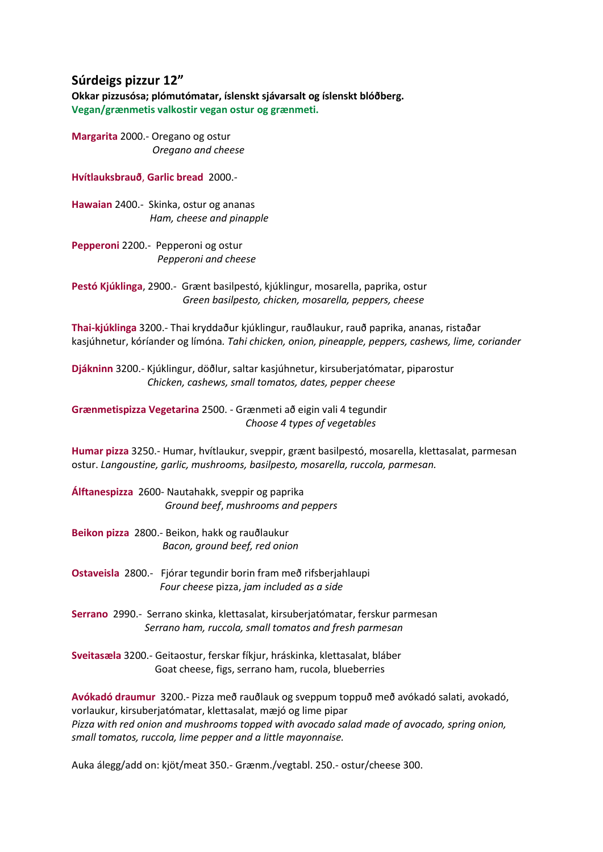#### **Súrdeigs pizzur 12"**

**Okkar pizzusósa; plómutómatar, íslenskt sjávarsalt og íslenskt blóðberg. Vegan/grænmetis valkostir vegan ostur og grænmeti.**

**Margarita** 2000.- Oregano og ostur  *Oregano and cheese*

**Hvítlauksbrauð**, **Garlic bread** 2000.-

**Hawaian** 2400.- Skinka, ostur og ananas *Ham, cheese and pinapple*

**Pepperoni** 2200.- Pepperoni og ostur *Pepperoni and cheese*

**Pestó Kjúklinga**, 2900.- Grænt basilpestó, kjúklingur, mosarella, paprika, ostur  *Green basilpesto, chicken, mosarella, peppers, cheese*

**Thai-kjúklinga** 3200.- Thai kryddaður kjúklingur, rauðlaukur, rauð paprika, ananas, ristaðar kasjúhnetur, kóríander og límóna*. Tahi chicken, onion, pineapple, peppers, cashews, lime, coriander*

**Djákninn** 3200.- Kjúklingur, döðlur, saltar kasjúhnetur, kirsuberjatómatar, piparostur *Chicken, cashews, small tomatos, dates, pepper cheese*

**Grænmetispizza Vegetarina** 2500. - Grænmeti að eigin vali 4 tegundir *Choose 4 types of vegetables*

**Humar pizza** 3250.- Humar, hvítlaukur, sveppir, grænt basilpestó, mosarella, klettasalat, parmesan ostur. *Langoustine, garlic, mushrooms, basilpesto, mosarella, ruccola, parmesan.*

**Álftanespizza** 2600- Nautahakk, sveppir og paprika *Ground beef*, *mushrooms and peppers*

**Beikon pizza** 2800.- Beikon, hakk og rauðlaukur *Bacon, ground beef, red onion*

**Ostaveisla** 2800.- Fjórar tegundir borin fram með rifsberjahlaupi *Four cheese* pizza, *jam included as a side*

**Serrano** 2990.- Serrano skinka, klettasalat, kirsuberjatómatar, ferskur parmesan *Serrano ham, ruccola, small tomatos and fresh parmesan*

**Sveitasæla** 3200.- Geitaostur, ferskar fíkjur, hráskinka, klettasalat, bláber Goat cheese, figs, serrano ham, rucola, blueberries

**Avókadó draumur** 3200.- Pizza með rauðlauk og sveppum toppuð með avókadó salati, avokadó, vorlaukur, kirsuberjatómatar, klettasalat, mæjó og lime pipar *Pizza with red onion and mushrooms topped with avocado salad made of avocado, spring onion, small tomatos, ruccola, lime pepper and a little mayonnaise.* 

Auka álegg/add on: kjöt/meat 350.- Grænm./vegtabl. 250.- ostur/cheese 300.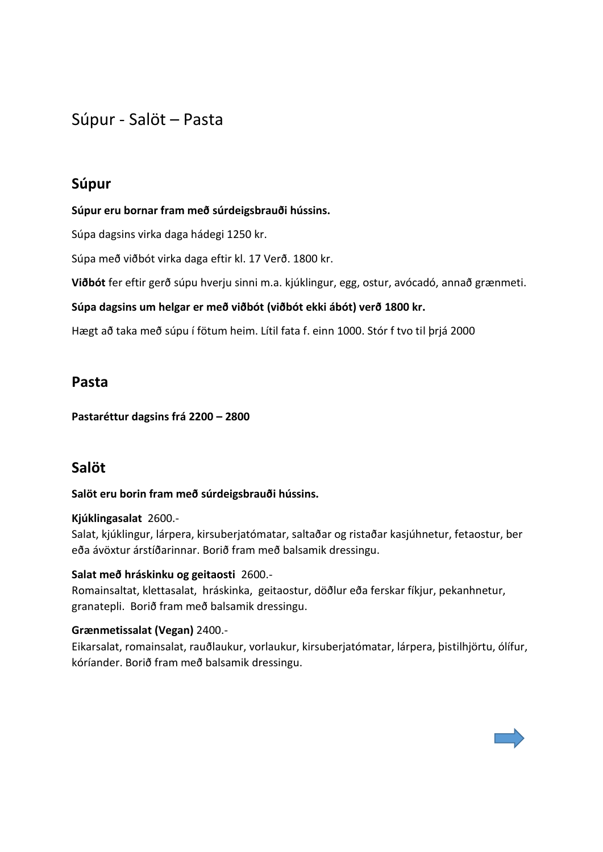Súpur - Salöt – Pasta

### **Súpur**

**Súpur eru bornar fram með súrdeigsbrauði hússins.**

Súpa dagsins virka daga hádegi 1250 kr.

Súpa með viðbót virka daga eftir kl. 17 Verð. 1800 kr.

**Viðbót** fer eftir gerð súpu hverju sinni m.a. kjúklingur, egg, ostur, avócadó, annað grænmeti.

**Súpa dagsins um helgar er með viðbót (viðbót ekki ábót) verð 1800 kr.**

Hægt að taka með súpu í fötum heim. Lítil fata f. einn 1000. Stór f tvo til þrjá 2000

### **Pasta**

**Pastaréttur dagsins frá 2200 – 2800**

### **Salöt**

#### **Salöt eru borin fram með súrdeigsbrauði hússins.**

#### **Kjúklingasalat** 2600.-

Salat, kjúklingur, lárpera, kirsuberjatómatar, saltaðar og ristaðar kasjúhnetur, fetaostur, ber eða ávöxtur árstíðarinnar. Borið fram með balsamik dressingu.

#### **Salat með hráskinku og geitaosti** 2600.-

Romainsaltat, klettasalat, hráskinka, geitaostur, döðlur eða ferskar fíkjur, pekanhnetur, granatepli. Borið fram með balsamik dressingu.

#### **Grænmetissalat (Vegan)** 2400.-

Eikarsalat, romainsalat, rauðlaukur, vorlaukur, kirsuberjatómatar, lárpera, þistilhjörtu, ólífur, kóríander. Borið fram með balsamik dressingu.

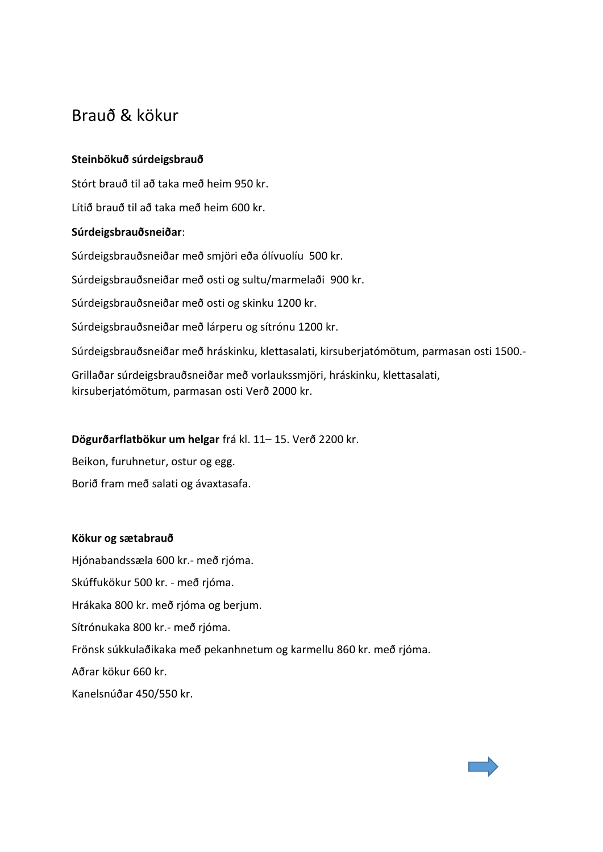# Brauð & kökur

#### **Steinbökuð súrdeigsbrauð**

Stórt brauð til að taka með heim 950 kr.

Lítið brauð til að taka með heim 600 kr.

#### **Súrdeigsbrauðsneiðar**:

Súrdeigsbrauðsneiðar með smjöri eða ólívuolíu 500 kr.

Súrdeigsbrauðsneiðar með osti og sultu/marmelaði 900 kr.

Súrdeigsbrauðsneiðar með osti og skinku 1200 kr.

Súrdeigsbrauðsneiðar með lárperu og sítrónu 1200 kr.

Súrdeigsbrauðsneiðar með hráskinku, klettasalati, kirsuberjatómötum, parmasan osti 1500.-

Grillaðar súrdeigsbrauðsneiðar með vorlaukssmjöri, hráskinku, klettasalati, kirsuberjatómötum, parmasan osti Verð 2000 kr.

#### **Dögurðarflatbökur um helgar** frá kl. 11– 15. Verð 2200 kr.

Beikon, furuhnetur, ostur og egg. Borið fram með salati og ávaxtasafa.

#### **Kökur og sætabrauð**

Hjónabandssæla 600 kr.- með rjóma.

Skúffukökur 500 kr. - með rjóma.

Hrákaka 800 kr. með rjóma og berjum.

Sítrónukaka 800 kr.- með rjóma.

Frönsk súkkulaðikaka með pekanhnetum og karmellu 860 kr. með rjóma.

Aðrar kökur 660 kr.

Kanelsnúðar 450/550 kr.

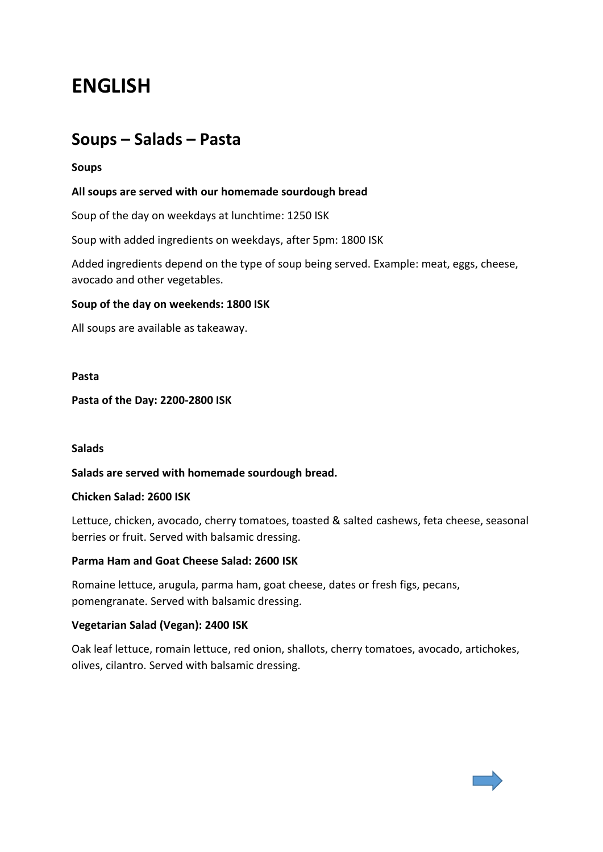# **ENGLISH**

# **Soups – Salads – Pasta**

#### **Soups**

#### **All soups are served with our homemade sourdough bread**

Soup of the day on weekdays at lunchtime: 1250 ISK

Soup with added ingredients on weekdays, after 5pm: 1800 ISK

Added ingredients depend on the type of soup being served. Example: meat, eggs, cheese, avocado and other vegetables.

#### **Soup of the day on weekends: 1800 ISK**

All soups are available as takeaway.

#### **Pasta**

**Pasta of the Day: 2200-2800 ISK**

#### **Salads**

#### **Salads are served with homemade sourdough bread.**

#### **Chicken Salad: 2600 ISK**

Lettuce, chicken, avocado, cherry tomatoes, toasted & salted cashews, feta cheese, seasonal berries or fruit. Served with balsamic dressing.

#### **Parma Ham and Goat Cheese Salad: 2600 ISK**

Romaine lettuce, arugula, parma ham, goat cheese, dates or fresh figs, pecans, pomengranate. Served with balsamic dressing.

#### **Vegetarian Salad (Vegan): 2400 ISK**

Oak leaf lettuce, romain lettuce, red onion, shallots, cherry tomatoes, avocado, artichokes, olives, cilantro. Served with balsamic dressing.